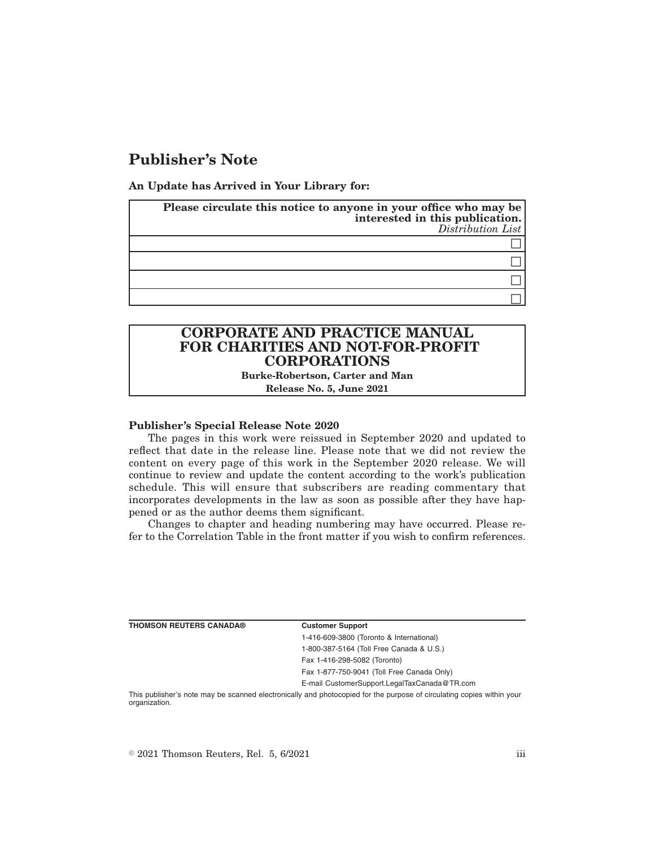# **Publisher's Note**

**An Update has Arrived in Your Library for:**

| Please circulate this notice to anyone in your office who may be<br>interested in this publication.<br>Distribution List |
|--------------------------------------------------------------------------------------------------------------------------|
|                                                                                                                          |
|                                                                                                                          |
|                                                                                                                          |
|                                                                                                                          |

## **CORPORATE AND PRACTICE MANUAL FOR CHARITIES AND NOT-FOR-PROFIT CORPORATIONS**

**Burke-Robertson, Carter and Man Release No. 5, June 2021**

#### **Publisher's Special Release Note 2020**

The pages in this work were reissued in September 2020 and updated to reflect that date in the release line. Please note that we did not review the content on every page of this work in the September 2020 release. We will continue to review and update the content according to the work's publication schedule. This will ensure that subscribers are reading commentary that incorporates developments in the law as soon as possible after they have happened or as the author deems them significant.

Changes to chapter and heading numbering may have occurred. Please refer to the Correlation Table in the front matter if you wish to confirm references.

**Customer Support** 

1-416-609-3800 (Toronto & International)

1-800-387-5164 (Toll Free Canada & U.S.)

Fax 1-416-298-5082 (Toronto)

Fax 1-877-750-9041 (Toll Free Canada Only)

E-mail CustomerSupport.LegalTaxCanada@TR.com

This publisher's note may be scanned electronically and photocopied for the purpose of circulating copies within your organization.

 $\degree$  2021 Thomson Reuters, Rel. 5, 6/2021 iii